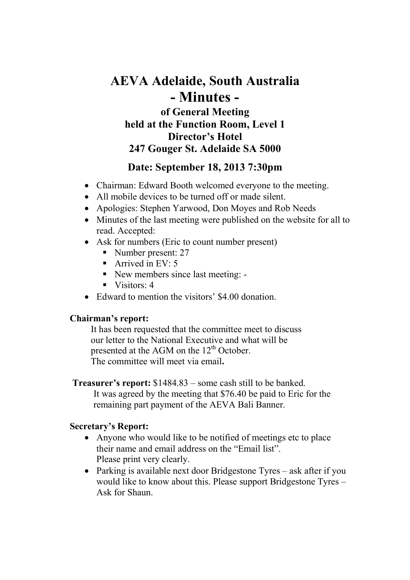# **AEVA Adelaide, South Australia - Minutes of General Meeting held at the Function Room, Level 1 Director's Hotel 247 Gouger St. Adelaide SA 5000**

## **Date: September 18, 2013 7:30pm**

- Chairman: Edward Booth welcomed everyone to the meeting.
- All mobile devices to be turned off or made silent.
- Apologies: Stephen Yarwood, Don Moyes and Rob Needs
- Minutes of the last meeting were published on the website for all to read. Accepted:
- Ask for numbers (Eric to count number present)
	- Number present: 27
	- Arrived in EV:  $5$
	- New members since last meeting: -
	- $\blacksquare$  Visitors: 4
- Edward to mention the visitors' \$4.00 donation.

#### **Chairman's report:**

It has been requested that the committee meet to discuss our letter to the National Executive and what will be presented at the AGM on the  $12<sup>th</sup>$  October. The committee will meet via email**.** 

**Treasurer's report:** \$1484.83 – some cash still to be banked. It was agreed by the meeting that \$76.40 be paid to Eric for the remaining part payment of the AEVA Bali Banner.

#### **Secretary's Report:**

- Anyone who would like to be notified of meetings etc to place their name and email address on the "Email list". Please print very clearly.
- Parking is available next door Bridgestone Tyres ask after if you would like to know about this. Please support Bridgestone Tyres – Ask for Shaun.